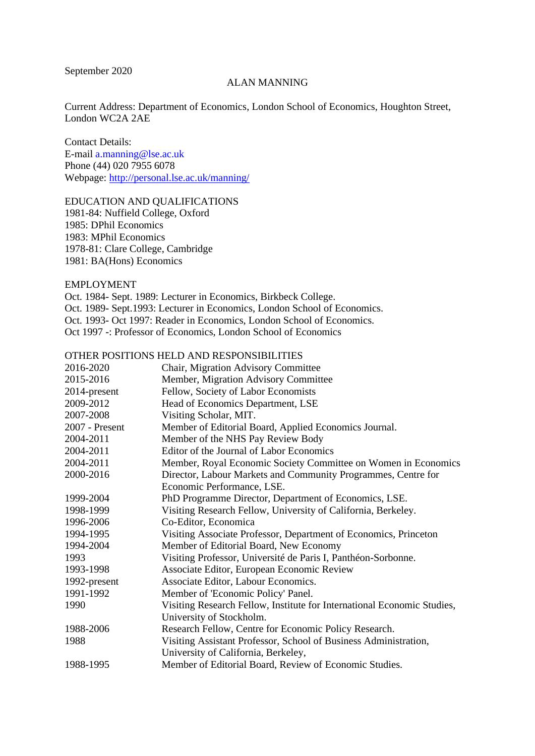September 2020

#### ALAN MANNING

Current Address: Department of Economics, London School of Economics, Houghton Street, London WC2A 2AE

Contact Details: E-mail a.manning@lse.ac.uk Phone (44) 020 7955 6078 Webpage:<http://personal.lse.ac.uk/manning/>

# EDUCATION AND QUALIFICATIONS

1981-84: Nuffield College, Oxford 1985: DPhil Economics 1983: MPhil Economics 1978-81: Clare College, Cambridge 1981: BA(Hons) Economics

EMPLOYMENT

Oct. 1984- Sept. 1989: Lecturer in Economics, Birkbeck College. Oct. 1989- Sept.1993: Lecturer in Economics, London School of Economics. Oct. 1993- Oct 1997: Reader in Economics, London School of Economics. Oct 1997 -: Professor of Economics, London School of Economics

#### OTHER POSITIONS HELD AND RESPONSIBILITIES

| 2016-2020      | Chair, Migration Advisory Committee                                     |
|----------------|-------------------------------------------------------------------------|
| 2015-2016      | Member, Migration Advisory Committee                                    |
| 2014-present   | Fellow, Society of Labor Economists                                     |
| 2009-2012      | Head of Economics Department, LSE                                       |
| 2007-2008      | Visiting Scholar, MIT.                                                  |
| 2007 - Present | Member of Editorial Board, Applied Economics Journal.                   |
| 2004-2011      | Member of the NHS Pay Review Body                                       |
| 2004-2011      | Editor of the Journal of Labor Economics                                |
| 2004-2011      | Member, Royal Economic Society Committee on Women in Economics          |
| 2000-2016      | Director, Labour Markets and Community Programmes, Centre for           |
|                | Economic Performance, LSE.                                              |
| 1999-2004      | PhD Programme Director, Department of Economics, LSE.                   |
| 1998-1999      | Visiting Research Fellow, University of California, Berkeley.           |
| 1996-2006      | Co-Editor, Economica                                                    |
| 1994-1995      | Visiting Associate Professor, Department of Economics, Princeton        |
| 1994-2004      | Member of Editorial Board, New Economy                                  |
| 1993           | Visiting Professor, Université de Paris I, Panthéon-Sorbonne.           |
| 1993-1998      | Associate Editor, European Economic Review                              |
| 1992-present   | Associate Editor, Labour Economics.                                     |
| 1991-1992      | Member of 'Economic Policy' Panel.                                      |
| 1990           | Visiting Research Fellow, Institute for International Economic Studies, |
|                | University of Stockholm.                                                |
| 1988-2006      | Research Fellow, Centre for Economic Policy Research.                   |
| 1988           | Visiting Assistant Professor, School of Business Administration,        |
|                | University of California, Berkeley,                                     |
| 1988-1995      | Member of Editorial Board, Review of Economic Studies.                  |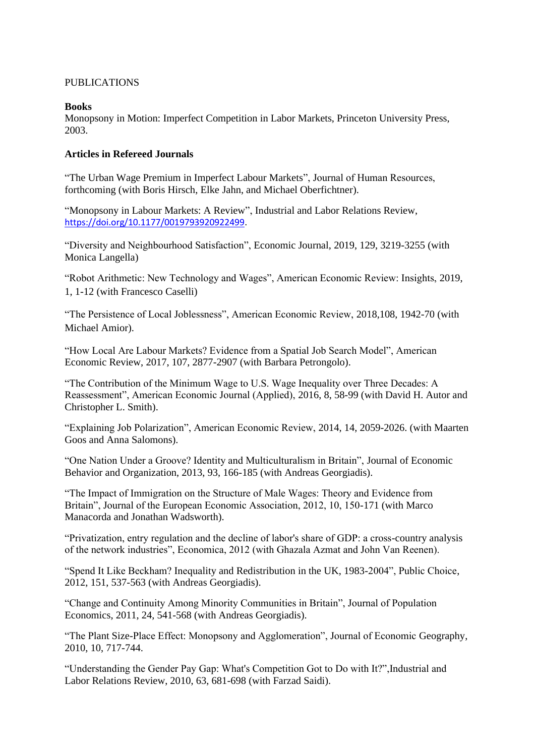# PUBLICATIONS

## **Books**

Monopsony in Motion: Imperfect Competition in Labor Markets, Princeton University Press, 2003.

## **Articles in Refereed Journals**

["The Urban Wage Premium in Imperfect Labour Markets"](http://cep.lse.ac.uk/pubs/download/dp1608.pdf), Journal of Human Resources, forthcoming (with Boris Hirsch, Elke Jahn, and Michael Oberfichtner).

"Monopsony in Labour Markets: A Review", Industrial and Labor Relations Review, [https://doi.org/10.1177/0019793920922499.](https://doi.org/10.1177/0019793920922499)

"Diversity and Neighbourhood Satisfaction", Economic Journal, 2019, 129, 3219-3255 (with Monica Langella)

"Robot Arithmetic: New Technology and Wages", American Economic Review: Insights, 2019, 1, 1-12 (with Francesco Caselli)

"The Persistence of Local Joblessness", American Economic Review, 2018,108, 1942-70 (with Michael Amior).

"How Local Are Labour Markets? Evidence from a Spatial Job Search Model", American Economic Review, 2017, 107, 2877-2907 (with Barbara Petrongolo).

"The Contribution of the Minimum Wage to U.S. Wage Inequality over Three Decades: A Reassessment", American Economic Journal (Applied), 2016, 8, 58-99 (with David H. Autor and Christopher L. Smith).

"Explaining Job Polarization", American Economic Review, 2014, 14, 2059-2026. (with Maarten Goos and Anna Salomons).

"One Nation Under a Groove? Identity and Multiculturalism in Britain", Journal of Economic Behavior and Organization, 2013, 93, 166-185 (with Andreas Georgiadis).

"The Impact of Immigration on the Structure of Male Wages: Theory and Evidence from Britain", Journal of the European Economic Association, 2012, 10, 150-171 (with Marco Manacorda and Jonathan Wadsworth).

"Privatization, entry regulation and the decline of labor's share of GDP: a cross-country analysis of the network industries", Economica, 2012 (with Ghazala Azmat and John Van Reenen).

"Spend It Like Beckham? Inequality and Redistribution in the UK, 1983-2004", Public Choice, 2012, 151, 537-563 (with Andreas Georgiadis).

"Change and Continuity Among Minority Communities in Britain", Journal of Population Economics, 2011, 24, 541-568 (with Andreas Georgiadis).

"The Plant Size-Place Effect: Monopsony and Agglomeration", Journal of Economic Geography, 2010, 10, 717-744.

"Understanding the Gender Pay Gap: What's Competition Got to Do with It?",Industrial and Labor Relations Review, 2010, 63, 681-698 (with Farzad Saidi).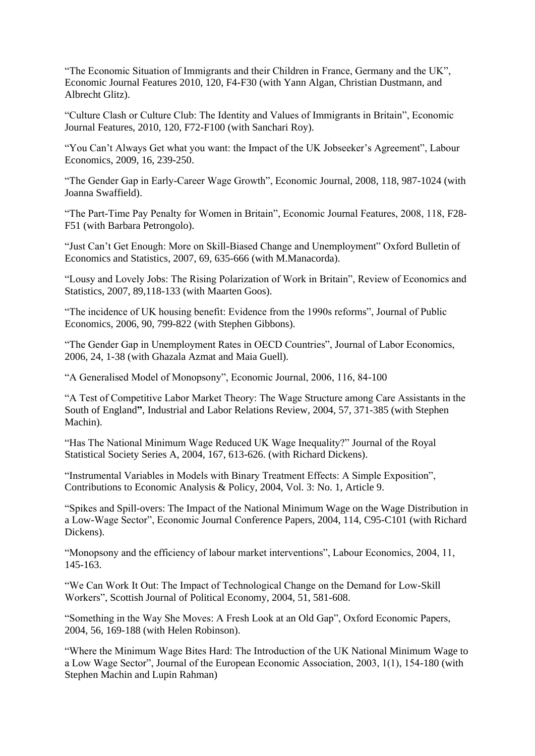"The Economic Situation of Immigrants and their Children in France, Germany and the UK", Economic Journal Features 2010, 120, F4-F30 (with Yann Algan, Christian Dustmann, and Albrecht Glitz).

"Culture Clash or Culture Club: The Identity and Values of Immigrants in Britain", Economic Journal Features, 2010, 120, F72-F100 (with Sanchari Roy).

"You Can't Always Get what you want: the Impact of the UK Jobseeker's Agreement", Labour Economics, 2009, 16, 239-250.

"The Gender Gap in Early-Career Wage Growth", Economic Journal, 2008, 118, 987-1024 (with Joanna Swaffield).

"The Part-Time Pay Penalty for Women in Britain", Economic Journal Features, 2008, 118, F28- F51 (with Barbara Petrongolo).

"Just Can't Get Enough: More on Skill-Biased Change and Unemployment" Oxford Bulletin of Economics and Statistics, 2007, 69, 635-666 (with M.Manacorda).

"Lousy and Lovely Jobs: The Rising Polarization of Work in Britain", Review of Economics and Statistics, 2007, 89,118-133 (with Maarten Goos).

"The incidence of UK housing benefit: Evidence from the 1990s reforms", Journal of Public Economics, 2006, 90, 799-822 (with Stephen Gibbons).

"The Gender Gap in Unemployment Rates in OECD Countries", Journal of Labor Economics, 2006, 24, 1-38 (with Ghazala Azmat and Maia Guell).

"A Generalised Model of Monopsony", Economic Journal, 2006, 116, 84-100

"A Test of Competitive Labor Market Theory: The Wage Structure among Care Assistants in the South of England**"**, Industrial and Labor Relations Review, 2004, 57, 371-385 (with Stephen Machin).

"Has The National Minimum Wage Reduced UK Wage Inequality?" Journal of the Royal Statistical Society Series A, 2004, 167, 613-626. (with Richard Dickens).

"Instrumental Variables in Models with Binary Treatment Effects: A Simple Exposition", Contributions to Economic Analysis & Policy, 2004, Vol. 3: No. 1, Article 9.

"Spikes and Spill-overs: The Impact of the National Minimum Wage on the Wage Distribution in a Low-Wage Sector", Economic Journal Conference Papers, 2004, 114, C95-C101 (with Richard Dickens).

"Monopsony and the efficiency of labour market interventions", Labour Economics, 2004, 11, 145-163.

"We Can Work It Out: The Impact of Technological Change on the Demand for Low-Skill Workers", Scottish Journal of Political Economy, 2004, 51, 581-608.

"Something in the Way She Moves: A Fresh Look at an Old Gap", Oxford Economic Papers, 2004, 56, 169-188 (with Helen Robinson).

"Where the Minimum Wage Bites Hard: The Introduction of the UK National Minimum Wage to a Low Wage Sector", Journal of the European Economic Association, 2003, 1(1), 154-180 (with Stephen Machin and Lupin Rahman)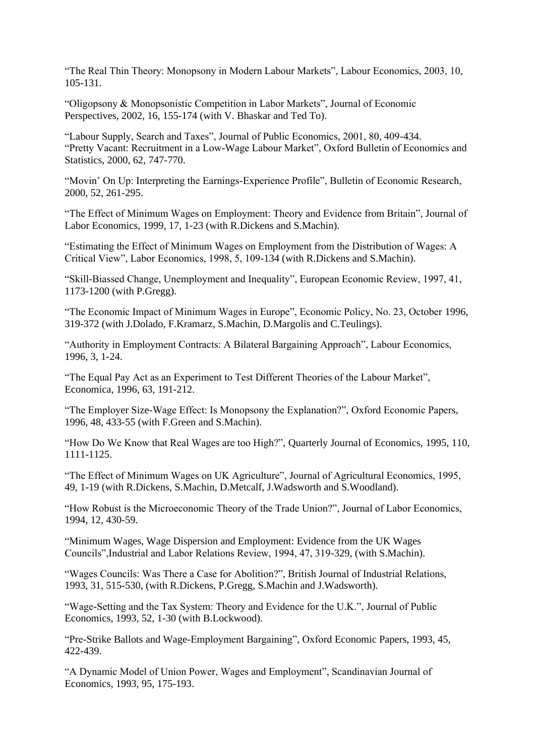"The Real Thin Theory: Monopsony in Modern Labour Markets", Labour Economics, 2003, 10, 105-131.

"Oligopsony & Monopsonistic Competition in Labor Markets", Journal of Economic Perspectives, 2002, 16, 155-174 (with V. Bhaskar and Ted To).

"Labour Supply, Search and Taxes", Journal of Public Economics, 2001, 80, 409-434. "Pretty Vacant: Recruitment in a Low-Wage Labour Market", Oxford Bulletin of Economics and Statistics, 2000, 62, 747-770.

"Movin' On Up: Interpreting the Earnings-Experience Profile", Bulletin of Economic Research, 2000, 52, 261-295.

"The Effect of Minimum Wages on Employment: Theory and Evidence from Britain", Journal of Labor Economics, 1999, 17, 1-23 (with R.Dickens and S.Machin).

"Estimating the Effect of Minimum Wages on Employment from the Distribution of Wages: A Critical View", Labor Economics, 1998, 5, 109-134 (with R.Dickens and S.Machin).

"Skill-Biassed Change, Unemployment and Inequality", European Economic Review, 1997, 41, 1173-1200 (with P.Gregg).

"The Economic Impact of Minimum Wages in Europe", Economic Policy, No. 23, October 1996, 319-372 (with J.Dolado, F.Kramarz, S.Machin, D.Margolis and C.Teulings).

"Authority in Employment Contracts: A Bilateral Bargaining Approach", Labour Economics, 1996, 3, 1-24.

"The Equal Pay Act as an Experiment to Test Different Theories of the Labour Market", Economica, 1996, 63, 191-212.

"The Employer Size-Wage Effect: Is Monopsony the Explanation?", Oxford Economic Papers, 1996, 48, 433-55 (with F.Green and S.Machin).

"How Do We Know that Real Wages are too High?", Quarterly Journal of Economics, 1995, 110, 1111-1125.

"The Effect of Minimum Wages on UK Agriculture", Journal of Agricultural Economics, 1995, 49, 1-19 (with R.Dickens, S.Machin, D.Metcalf, J.Wadsworth and S.Woodland).

"How Robust is the Microeconomic Theory of the Trade Union?", Journal of Labor Economics, 1994, 12, 430-59.

"Minimum Wages, Wage Dispersion and Employment: Evidence from the UK Wages Councils",Industrial and Labor Relations Review, 1994, 47, 319-329, (with S.Machin).

"Wages Councils: Was There a Case for Abolition?", British Journal of Industrial Relations, 1993, 31, 515-530, (with R.Dickens, P.Gregg, S.Machin and J.Wadsworth).

"Wage-Setting and the Tax System: Theory and Evidence for the U.K.", Journal of Public Economics, 1993, 52, 1-30 (with B.Lockwood).

"Pre-Strike Ballots and Wage-Employment Bargaining", Oxford Economic Papers, 1993, 45, 422-439.

"A Dynamic Model of Union Power, Wages and Employment", Scandinavian Journal of Economics, 1993, 95, 175-193.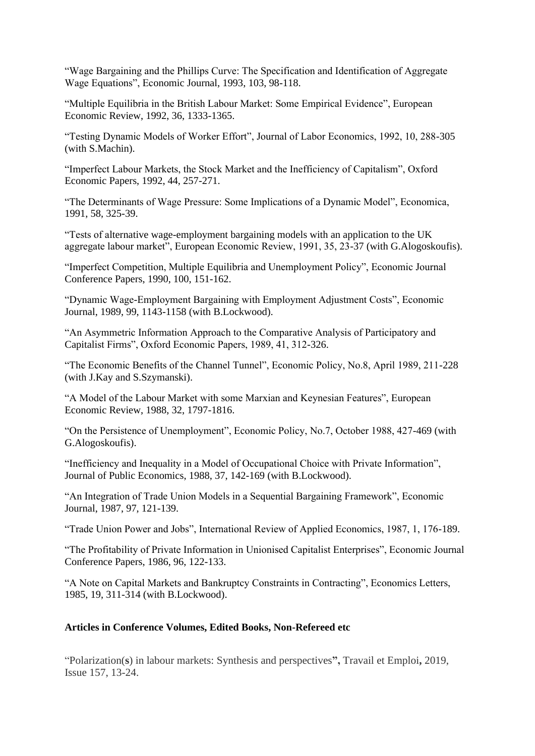"Wage Bargaining and the Phillips Curve: The Specification and Identification of Aggregate Wage Equations", Economic Journal, 1993, 103, 98-118.

"Multiple Equilibria in the British Labour Market: Some Empirical Evidence", European Economic Review, 1992, 36, 1333-1365.

"Testing Dynamic Models of Worker Effort", Journal of Labor Economics, 1992, 10, 288-305 (with S.Machin).

"Imperfect Labour Markets, the Stock Market and the Inefficiency of Capitalism", Oxford Economic Papers, 1992, 44, 257-271.

"The Determinants of Wage Pressure: Some Implications of a Dynamic Model", Economica, 1991, 58, 325-39.

"Tests of alternative wage-employment bargaining models with an application to the UK aggregate labour market", European Economic Review, 1991, 35, 23-37 (with G.Alogoskoufis).

"Imperfect Competition, Multiple Equilibria and Unemployment Policy", Economic Journal Conference Papers, 1990, 100, 151-162.

"Dynamic Wage-Employment Bargaining with Employment Adjustment Costs", Economic Journal, 1989, 99, 1143-1158 (with B.Lockwood).

"An Asymmetric Information Approach to the Comparative Analysis of Participatory and Capitalist Firms", Oxford Economic Papers, 1989, 41, 312-326.

"The Economic Benefits of the Channel Tunnel", Economic Policy, No.8, April 1989, 211-228 (with J.Kay and S.Szymanski).

"A Model of the Labour Market with some Marxian and Keynesian Features", European Economic Review, 1988, 32, 1797-1816.

"On the Persistence of Unemployment", Economic Policy, No.7, October 1988, 427-469 (with G.Alogoskoufis).

"Inefficiency and Inequality in a Model of Occupational Choice with Private Information", Journal of Public Economics, 1988, 37, 142-169 (with B.Lockwood).

"An Integration of Trade Union Models in a Sequential Bargaining Framework", Economic Journal, 1987, 97, 121-139.

"Trade Union Power and Jobs", International Review of Applied Economics, 1987, 1, 176-189.

"The Profitability of Private Information in Unionised Capitalist Enterprises", Economic Journal Conference Papers, 1986, 96, 122-133.

"A Note on Capital Markets and Bankruptcy Constraints in Contracting", Economics Letters, 1985, 19, 311-314 (with B.Lockwood).

# **Articles in Conference Volumes, Edited Books, Non-Refereed etc**

"Polarization(**s**) in labour markets: Synthesis and perspectives**",** Travail et Emploi**,** 2019, Issue 157, 13-24.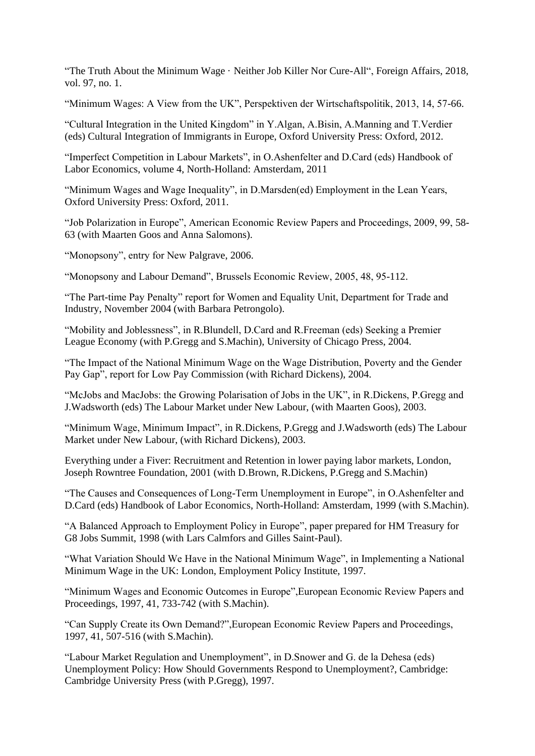"The Truth About the Minimum Wage · Neither Job Killer Nor Cure-All", Foreign Affairs, 2018, vol. 97, no. 1.

"Minimum Wages: A View from the UK", Perspektiven der Wirtschaftspolitik, 2013, 14, 57-66.

"Cultural Integration in the United Kingdom" in Y.Algan, A.Bisin, A.Manning and T.Verdier (eds) Cultural Integration of Immigrants in Europe, Oxford University Press: Oxford, 2012.

"Imperfect Competition in Labour Markets", in O.Ashenfelter and D.Card (eds) Handbook of Labor Economics, volume 4, North-Holland: Amsterdam, 2011

"Minimum Wages and Wage Inequality", in D.Marsden(ed) Employment in the Lean Years, Oxford University Press: Oxford, 2011.

"Job Polarization in Europe", American Economic Review Papers and Proceedings, 2009, 99, 58- 63 (with Maarten Goos and Anna Salomons).

"Monopsony", entry for New Palgrave, 2006.

"Monopsony and Labour Demand", Brussels Economic Review, 2005, 48, 95-112.

"The Part-time Pay Penalty" report for Women and Equality Unit, Department for Trade and Industry, November 2004 (with Barbara Petrongolo).

"Mobility and Joblessness", in R.Blundell, D.Card and R.Freeman (eds) Seeking a Premier League Economy (with P.Gregg and S.Machin), University of Chicago Press, 2004.

"The Impact of the National Minimum Wage on the Wage Distribution, Poverty and the Gender Pay Gap", report for Low Pay Commission (with Richard Dickens), 2004.

"McJobs and MacJobs: the Growing Polarisation of Jobs in the UK", in R.Dickens, P.Gregg and J.Wadsworth (eds) The Labour Market under New Labour, (with Maarten Goos), 2003.

"Minimum Wage, Minimum Impact", in R.Dickens, P.Gregg and J.Wadsworth (eds) The Labour Market under New Labour, (with Richard Dickens), 2003.

Everything under a Fiver: Recruitment and Retention in lower paying labor markets, London, Joseph Rowntree Foundation, 2001 (with D.Brown, R.Dickens, P.Gregg and S.Machin)

"The Causes and Consequences of Long-Term Unemployment in Europe", in O.Ashenfelter and D.Card (eds) Handbook of Labor Economics, North-Holland: Amsterdam, 1999 (with S.Machin).

"A Balanced Approach to Employment Policy in Europe", paper prepared for HM Treasury for G8 Jobs Summit, 1998 (with Lars Calmfors and Gilles Saint-Paul).

"What Variation Should We Have in the National Minimum Wage", in Implementing a National Minimum Wage in the UK: London, Employment Policy Institute, 1997.

"Minimum Wages and Economic Outcomes in Europe",European Economic Review Papers and Proceedings, 1997, 41, 733-742 (with S.Machin).

"Can Supply Create its Own Demand?",European Economic Review Papers and Proceedings, 1997, 41, 507-516 (with S.Machin).

"Labour Market Regulation and Unemployment", in D.Snower and G. de la Dehesa (eds) Unemployment Policy: How Should Governments Respond to Unemployment?, Cambridge: Cambridge University Press (with P.Gregg), 1997.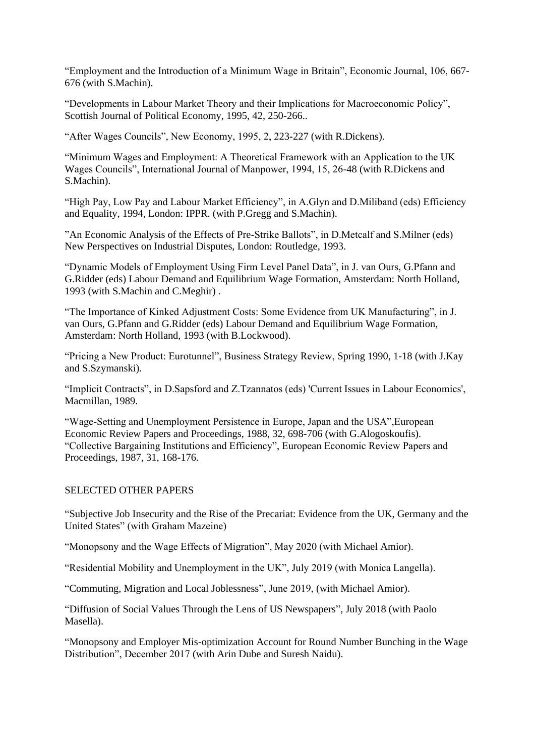"Employment and the Introduction of a Minimum Wage in Britain", Economic Journal, 106, 667- 676 (with S.Machin).

"Developments in Labour Market Theory and their Implications for Macroeconomic Policy", Scottish Journal of Political Economy, 1995, 42, 250-266..

"After Wages Councils", New Economy, 1995, 2, 223-227 (with R.Dickens).

"Minimum Wages and Employment: A Theoretical Framework with an Application to the UK Wages Councils", International Journal of Manpower, 1994, 15, 26-48 (with R.Dickens and S.Machin).

"High Pay, Low Pay and Labour Market Efficiency", in A.Glyn and D.Miliband (eds) Efficiency and Equality, 1994, London: IPPR. (with P.Gregg and S.Machin).

"An Economic Analysis of the Effects of Pre-Strike Ballots", in D.Metcalf and S.Milner (eds) New Perspectives on Industrial Disputes, London: Routledge, 1993.

"Dynamic Models of Employment Using Firm Level Panel Data", in J. van Ours, G.Pfann and G.Ridder (eds) Labour Demand and Equilibrium Wage Formation, Amsterdam: North Holland, 1993 (with S.Machin and C.Meghir) .

"The Importance of Kinked Adjustment Costs: Some Evidence from UK Manufacturing", in J. van Ours, G.Pfann and G.Ridder (eds) Labour Demand and Equilibrium Wage Formation, Amsterdam: North Holland, 1993 (with B.Lockwood).

"Pricing a New Product: Eurotunnel", Business Strategy Review, Spring 1990, 1-18 (with J.Kay and S.Szymanski).

"Implicit Contracts", in D.Sapsford and Z.Tzannatos (eds) 'Current Issues in Labour Economics', Macmillan, 1989.

"Wage-Setting and Unemployment Persistence in Europe, Japan and the USA",European Economic Review Papers and Proceedings, 1988, 32, 698-706 (with G.Alogoskoufis). "Collective Bargaining Institutions and Efficiency", European Economic Review Papers and Proceedings, 1987, 31, 168-176.

#### SELECTED OTHER PAPERS

["Subjective Job Insecurity and the Rise of the Precariat: Evidence from the UK, Germany and the](http://cep.lse.ac.uk/pubs/download/dp1712.pdf)  [United States"](http://cep.lse.ac.uk/pubs/download/dp1712.pdf) (with Graham Mazeine)

"Monopsony and the Wage Effects of Migration", May 2020 (with Michael Amior).

"Residential Mobility and Unemployment in the UK", July 2019 (with Monica Langella).

"Commuting, Migration and Local Joblessness", June 2019, (with Michael Amior).

"Diffusion of Social Values Through the Lens of US Newspapers", July 2018 (with Paolo Masella).

"Monopsony and Employer Mis-optimization Account for Round Number Bunching in the Wage Distribution", December 2017 (with Arin Dube and Suresh Naidu).